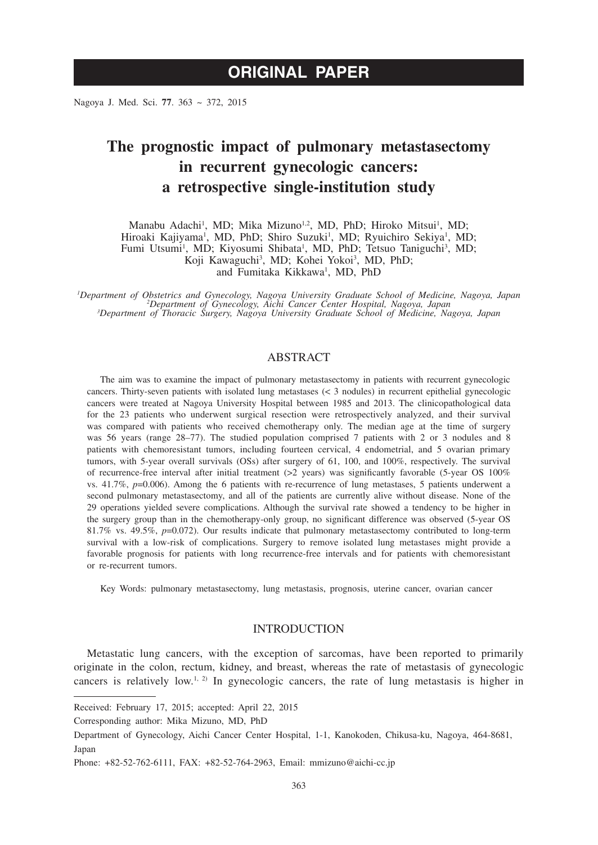Nagoya J. Med. Sci. **77**. 363 ~ 372, 2015

# **The prognostic impact of pulmonary metastasectomy in recurrent gynecologic cancers: a retrospective single-institution study**

Manabu Adachi<sup>1</sup>, MD; Mika Mizuno<sup>1,2</sup>, MD, PhD; Hiroko Mitsui<sup>1</sup>, MD; Hiroaki Kajiyama<sup>1</sup>, MD, PhD; Shiro Suzuki<sup>1</sup>, MD; Ryuichiro Sekiya<sup>1</sup>, MD; Fumi Utsumi<sup>1</sup>, MD; Kiyosumi Shibata<sup>1</sup>, MD, PhD; Tetsuo Taniguchi<sup>3</sup>, MD; Koji Kawaguchi<sup>3</sup>, MD; Kohei Yokoi<sup>3</sup>, MD, PhD; and Fumitaka Kikkawa<sup>1</sup>, MD, PhD

*1 Department of Obstetrics and Gynecology, Nagoya University Graduate School of Medicine, Nagoya, Japan <sup>2</sup> Department of Gynecology, Aichi Cancer Center Hospital, Nagoya, Japan <sup>3</sup> Department of Thoracic Surgery, Nagoya University Graduate School of Medicine, Nagoya, Japan*

## ABSTRACT

The aim was to examine the impact of pulmonary metastasectomy in patients with recurrent gynecologic cancers. Thirty-seven patients with isolated lung metastases (< 3 nodules) in recurrent epithelial gynecologic cancers were treated at Nagoya University Hospital between 1985 and 2013. The clinicopathological data for the 23 patients who underwent surgical resection were retrospectively analyzed, and their survival was compared with patients who received chemotherapy only. The median age at the time of surgery was 56 years (range 28–77). The studied population comprised 7 patients with 2 or 3 nodules and 8 patients with chemoresistant tumors, including fourteen cervical, 4 endometrial, and 5 ovarian primary tumors, with 5-year overall survivals (OSs) after surgery of 61, 100, and 100%, respectively. The survival of recurrence-free interval after initial treatment (>2 years) was significantly favorable (5-year OS 100% vs. 41.7%, *p*=0.006). Among the 6 patients with re-recurrence of lung metastases, 5 patients underwent a second pulmonary metastasectomy, and all of the patients are currently alive without disease. None of the 29 operations yielded severe complications. Although the survival rate showed a tendency to be higher in the surgery group than in the chemotherapy-only group, no significant difference was observed (5-year OS 81.7% vs. 49.5%, *p*=0.072). Our results indicate that pulmonary metastasectomy contributed to long-term survival with a low-risk of complications. Surgery to remove isolated lung metastases might provide a favorable prognosis for patients with long recurrence-free intervals and for patients with chemoresistant or re-recurrent tumors.

Key Words: pulmonary metastasectomy, lung metastasis, prognosis, uterine cancer, ovarian cancer

# INTRODUCTION

Metastatic lung cancers, with the exception of sarcomas, have been reported to primarily originate in the colon, rectum, kidney, and breast, whereas the rate of metastasis of gynecologic cancers is relatively low.<sup>1, 2)</sup> In gynecologic cancers, the rate of lung metastasis is higher in

Received: February 17, 2015; accepted: April 22, 2015

Corresponding author: Mika Mizuno, MD, PhD

Department of Gynecology, Aichi Cancer Center Hospital, 1-1, Kanokoden, Chikusa-ku, Nagoya, 464-8681, Japan

Phone: +82-52-762-6111, FAX: +82-52-764-2963, Email: mmizuno@aichi-cc.jp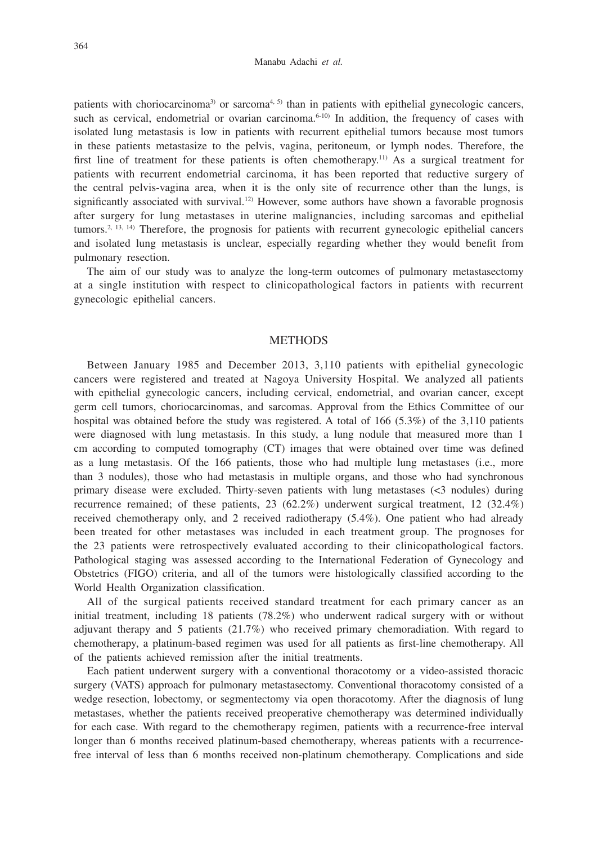patients with choriocarcinoma<sup>3)</sup> or sarcoma<sup>4, 5)</sup> than in patients with epithelial gynecologic cancers, such as cervical, endometrial or ovarian carcinoma.<sup>6-10)</sup> In addition, the frequency of cases with isolated lung metastasis is low in patients with recurrent epithelial tumors because most tumors in these patients metastasize to the pelvis, vagina, peritoneum, or lymph nodes. Therefore, the first line of treatment for these patients is often chemotherapy.<sup>11)</sup> As a surgical treatment for patients with recurrent endometrial carcinoma, it has been reported that reductive surgery of the central pelvis-vagina area, when it is the only site of recurrence other than the lungs, is significantly associated with survival.<sup>12)</sup> However, some authors have shown a favorable prognosis after surgery for lung metastases in uterine malignancies, including sarcomas and epithelial tumors.<sup>2, 13, 14)</sup> Therefore, the prognosis for patients with recurrent gynecologic epithelial cancers and isolated lung metastasis is unclear, especially regarding whether they would benefit from pulmonary resection.

The aim of our study was to analyze the long-term outcomes of pulmonary metastasectomy at a single institution with respect to clinicopathological factors in patients with recurrent gynecologic epithelial cancers.

## **METHODS**

Between January 1985 and December 2013, 3,110 patients with epithelial gynecologic cancers were registered and treated at Nagoya University Hospital. We analyzed all patients with epithelial gynecologic cancers, including cervical, endometrial, and ovarian cancer, except germ cell tumors, choriocarcinomas, and sarcomas. Approval from the Ethics Committee of our hospital was obtained before the study was registered. A total of 166 (5.3%) of the 3,110 patients were diagnosed with lung metastasis. In this study, a lung nodule that measured more than 1 cm according to computed tomography (CT) images that were obtained over time was defined as a lung metastasis. Of the 166 patients, those who had multiple lung metastases (i.e., more than 3 nodules), those who had metastasis in multiple organs, and those who had synchronous primary disease were excluded. Thirty-seven patients with lung metastases (<3 nodules) during recurrence remained; of these patients, 23 (62.2%) underwent surgical treatment, 12 (32.4%) received chemotherapy only, and 2 received radiotherapy (5.4%). One patient who had already been treated for other metastases was included in each treatment group. The prognoses for the 23 patients were retrospectively evaluated according to their clinicopathological factors. Pathological staging was assessed according to the International Federation of Gynecology and Obstetrics (FIGO) criteria, and all of the tumors were histologically classified according to the World Health Organization classification.

All of the surgical patients received standard treatment for each primary cancer as an initial treatment, including 18 patients (78.2%) who underwent radical surgery with or without adjuvant therapy and 5 patients (21.7%) who received primary chemoradiation. With regard to chemotherapy, a platinum-based regimen was used for all patients as first-line chemotherapy. All of the patients achieved remission after the initial treatments.

Each patient underwent surgery with a conventional thoracotomy or a video-assisted thoracic surgery (VATS) approach for pulmonary metastasectomy. Conventional thoracotomy consisted of a wedge resection, lobectomy, or segmentectomy via open thoracotomy. After the diagnosis of lung metastases, whether the patients received preoperative chemotherapy was determined individually for each case. With regard to the chemotherapy regimen, patients with a recurrence-free interval longer than 6 months received platinum-based chemotherapy, whereas patients with a recurrencefree interval of less than 6 months received non-platinum chemotherapy. Complications and side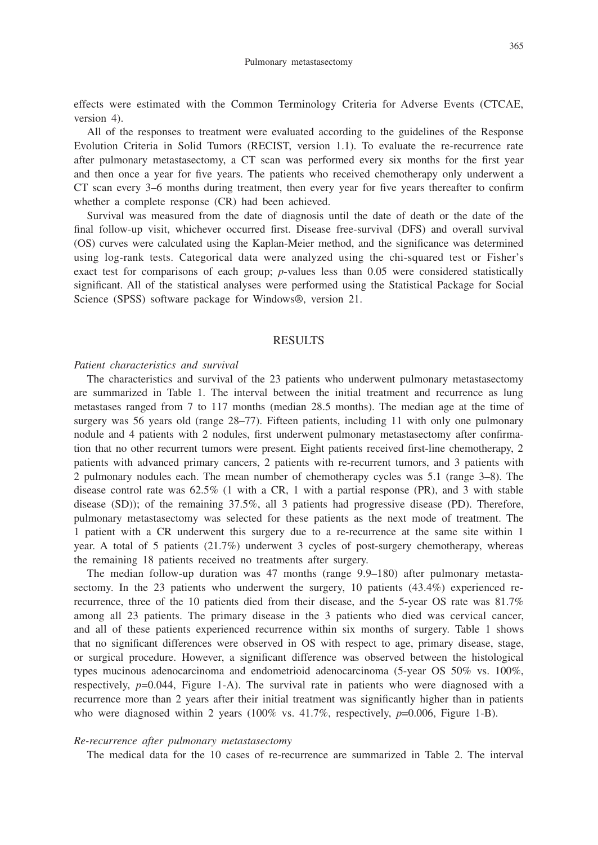effects were estimated with the Common Terminology Criteria for Adverse Events (CTCAE, version 4).

All of the responses to treatment were evaluated according to the guidelines of the Response Evolution Criteria in Solid Tumors (RECIST, version 1.1). To evaluate the re-recurrence rate after pulmonary metastasectomy, a CT scan was performed every six months for the first year and then once a year for five years. The patients who received chemotherapy only underwent a CT scan every 3–6 months during treatment, then every year for five years thereafter to confirm whether a complete response (CR) had been achieved.

Survival was measured from the date of diagnosis until the date of death or the date of the final follow-up visit, whichever occurred first. Disease free-survival (DFS) and overall survival (OS) curves were calculated using the Kaplan-Meier method, and the significance was determined using log-rank tests. Categorical data were analyzed using the chi-squared test or Fisher's exact test for comparisons of each group; *p*-values less than 0.05 were considered statistically significant. All of the statistical analyses were performed using the Statistical Package for Social Science (SPSS) software package for Windows®, version 21.

## RESULTS

## *Patient characteristics and survival*

The characteristics and survival of the 23 patients who underwent pulmonary metastasectomy are summarized in Table 1. The interval between the initial treatment and recurrence as lung metastases ranged from 7 to 117 months (median 28.5 months). The median age at the time of surgery was 56 years old (range  $28-77$ ). Fifteen patients, including 11 with only one pulmonary nodule and 4 patients with 2 nodules, first underwent pulmonary metastasectomy after confirmation that no other recurrent tumors were present. Eight patients received first-line chemotherapy, 2 patients with advanced primary cancers, 2 patients with re-recurrent tumors, and 3 patients with 2 pulmonary nodules each. The mean number of chemotherapy cycles was 5.1 (range 3–8). The disease control rate was  $62.5\%$  (1 with a CR, 1 with a partial response (PR), and 3 with stable disease (SD)); of the remaining 37.5%, all 3 patients had progressive disease (PD). Therefore, pulmonary metastasectomy was selected for these patients as the next mode of treatment. The 1 patient with a CR underwent this surgery due to a re-recurrence at the same site within 1 year. A total of 5 patients (21.7%) underwent 3 cycles of post-surgery chemotherapy, whereas the remaining 18 patients received no treatments after surgery.

The median follow-up duration was 47 months (range 9.9–180) after pulmonary metastasectomy. In the 23 patients who underwent the surgery, 10 patients (43.4%) experienced rerecurrence, three of the 10 patients died from their disease, and the 5-year OS rate was 81.7% among all 23 patients. The primary disease in the 3 patients who died was cervical cancer, and all of these patients experienced recurrence within six months of surgery. Table 1 shows that no significant differences were observed in OS with respect to age, primary disease, stage, or surgical procedure. However, a significant difference was observed between the histological types mucinous adenocarcinoma and endometrioid adenocarcinoma (5-year OS 50% vs. 100%, respectively,  $p=0.044$ , Figure 1-A). The survival rate in patients who were diagnosed with a recurrence more than 2 years after their initial treatment was significantly higher than in patients who were diagnosed within 2 years  $(100\%$  vs.  $41.7\%$ , respectively,  $p=0.006$ , Figure 1-B).

## *Re-recurrence after pulmonary metastasectomy*

The medical data for the 10 cases of re-recurrence are summarized in Table 2. The interval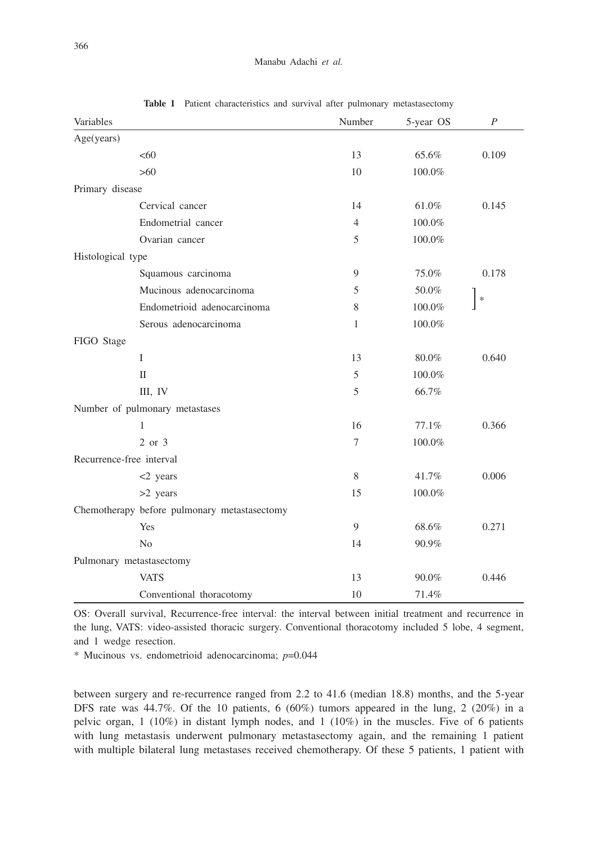| Variables                                    | Number | 5-year OS | $\boldsymbol{P}$ |
|----------------------------------------------|--------|-----------|------------------|
| Age(years)                                   |        |           |                  |
| <60                                          | 13     | 65.6%     | 0.109            |
| >60                                          | 10     | 100.0%    |                  |
| Primary disease                              |        |           |                  |
| Cervical cancer                              | 14     | 61.0%     | 0.145            |
| Endometrial cancer                           | 4      | 100.0%    |                  |
| Ovarian cancer                               | 5      | 100.0%    |                  |
| Histological type                            |        |           |                  |
| Squamous carcinoma                           | 9      | 75.0%     | 0.178            |
| Mucinous adenocarcinoma                      | 5      | 50.0%     |                  |
| Endometrioid adenocarcinoma                  | 8      | 100.0%    | $\ast$           |
| Serous adenocarcinoma                        | 1      | 100.0%    |                  |
| FIGO Stage                                   |        |           |                  |
| $\mathbf{I}$                                 | 13     | 80.0%     | 0.640            |
| $\mathbf{I}$                                 | 5      | 100.0%    |                  |
| III, IV                                      | 5      | 66.7%     |                  |
| Number of pulmonary metastases               |        |           |                  |
| 1                                            | 16     | 77.1%     | 0.366            |
| 2 or 3                                       | 7      | 100.0%    |                  |
| Recurrence-free interval                     |        |           |                  |
| $<$ 2 years                                  | 8      | 41.7%     | 0.006            |
| $>2$ years                                   | 15     | 100.0%    |                  |
| Chemotherapy before pulmonary metastasectomy |        |           |                  |
| Yes                                          | 9      | 68.6%     | 0.271            |
| N <sub>o</sub>                               | 14     | 90.9%     |                  |
| Pulmonary metastasectomy                     |        |           |                  |
| <b>VATS</b>                                  | 13     | 90.0%     | 0.446            |
| Conventional thoracotomy                     | 10     | 71.4%     |                  |

**Table 1** Patient characteristics and survival after pulmonary metastasectomy

OS: Overall survival, Recurrence-free interval: the interval between initial treatment and recurrence in the lung, VATS: video-assisted thoracic surgery. Conventional thoracotomy included 5 lobe, 4 segment, and 1 wedge resection.

\* Mucinous vs. endometrioid adenocarcinoma; *p*=0.044

between surgery and re-recurrence ranged from 2.2 to 41.6 (median 18.8) months, and the 5-year DFS rate was  $44.7\%$ . Of the 10 patients, 6 (60%) tumors appeared in the lung, 2 (20%) in a pelvic organ, 1 (10%) in distant lymph nodes, and 1 (10%) in the muscles. Five of 6 patients with lung metastasis underwent pulmonary metastasectomy again, and the remaining 1 patient with multiple bilateral lung metastases received chemotherapy. Of these 5 patients, 1 patient with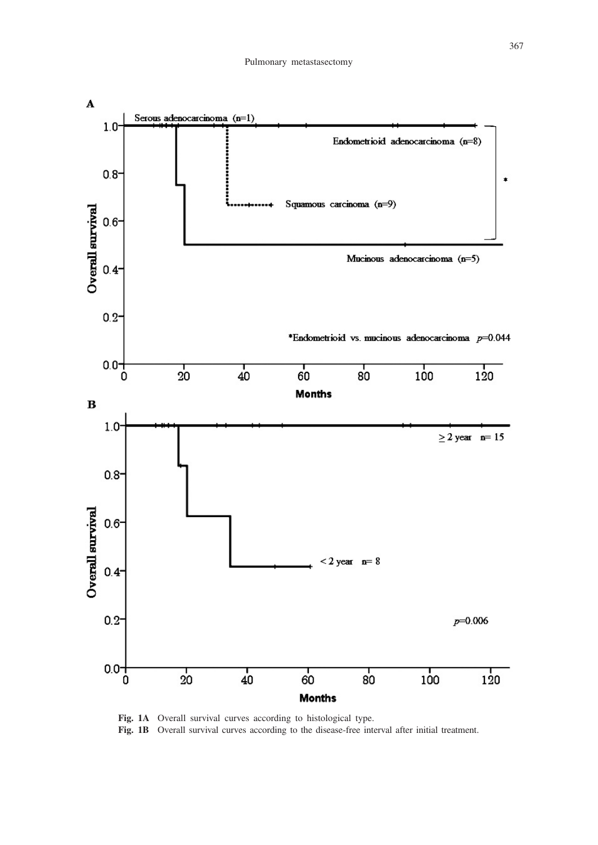

**Fig. 1A** Overall survival curves according to histological type. **Fig. 1B** Overall survival curves according to the disease-free interval after initial treatment.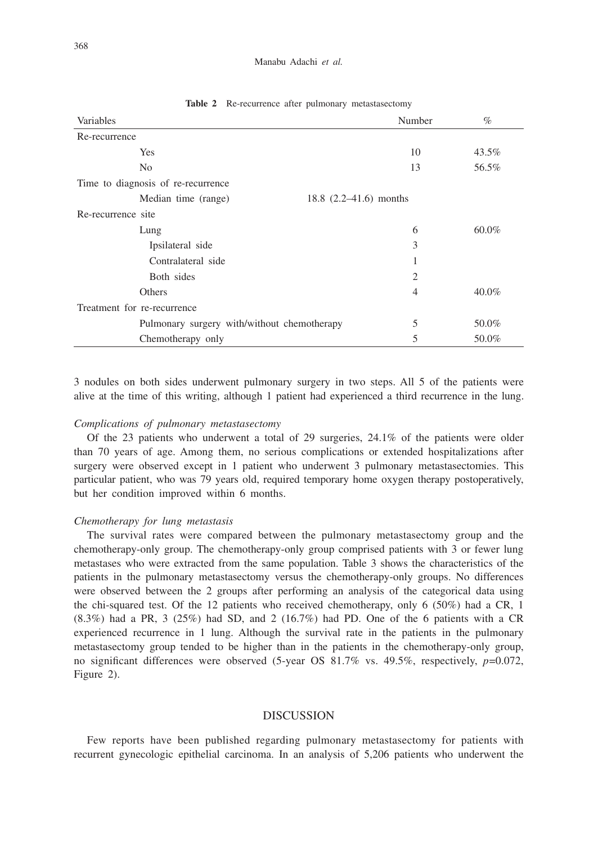#### Manabu Adachi *et al.*

| Variables                                   | Number                   | $\%$     |
|---------------------------------------------|--------------------------|----------|
| Re-recurrence                               |                          |          |
| Yes                                         | 10                       | 43.5%    |
| N <sub>0</sub>                              | 13                       | 56.5%    |
| Time to diagnosis of re-recurrence          |                          |          |
| Median time (range)                         | 18.8 $(2.2-41.6)$ months |          |
| Re-recurrence site                          |                          |          |
| Lung                                        | 6                        | $60.0\%$ |
| Ipsilateral side                            | 3                        |          |
| Contralateral side                          |                          |          |
| Both sides                                  | $\overline{2}$           |          |
| Others                                      | 4                        | $40.0\%$ |
| Treatment for re-recurrence                 |                          |          |
| Pulmonary surgery with/without chemotherapy | 5                        | 50.0%    |
| Chemotherapy only                           | 5                        | 50.0%    |

**Table 2** Re-recurrence after pulmonary metastasectomy

3 nodules on both sides underwent pulmonary surgery in two steps. All 5 of the patients were alive at the time of this writing, although 1 patient had experienced a third recurrence in the lung.

### *Complications of pulmonary metastasectomy*

Of the 23 patients who underwent a total of 29 surgeries, 24.1% of the patients were older than 70 years of age. Among them, no serious complications or extended hospitalizations after surgery were observed except in 1 patient who underwent 3 pulmonary metastasectomies. This particular patient, who was 79 years old, required temporary home oxygen therapy postoperatively, but her condition improved within 6 months.

#### *Chemotherapy for lung metastasis*

The survival rates were compared between the pulmonary metastasectomy group and the chemotherapy-only group. The chemotherapy-only group comprised patients with 3 or fewer lung metastases who were extracted from the same population. Table 3 shows the characteristics of the patients in the pulmonary metastasectomy versus the chemotherapy-only groups. No differences were observed between the 2 groups after performing an analysis of the categorical data using the chi-squared test. Of the 12 patients who received chemotherapy, only 6 (50%) had a CR, 1  $(8.3\%)$  had a PR, 3 (25%) had SD, and 2 (16.7%) had PD. One of the 6 patients with a CR experienced recurrence in 1 lung. Although the survival rate in the patients in the pulmonary metastasectomy group tended to be higher than in the patients in the chemotherapy-only group, no significant differences were observed (5-year OS 81.7% vs. 49.5%, respectively, *p*=0.072, Figure 2).

## **DISCUSSION**

Few reports have been published regarding pulmonary metastasectomy for patients with recurrent gynecologic epithelial carcinoma. In an analysis of 5,206 patients who underwent the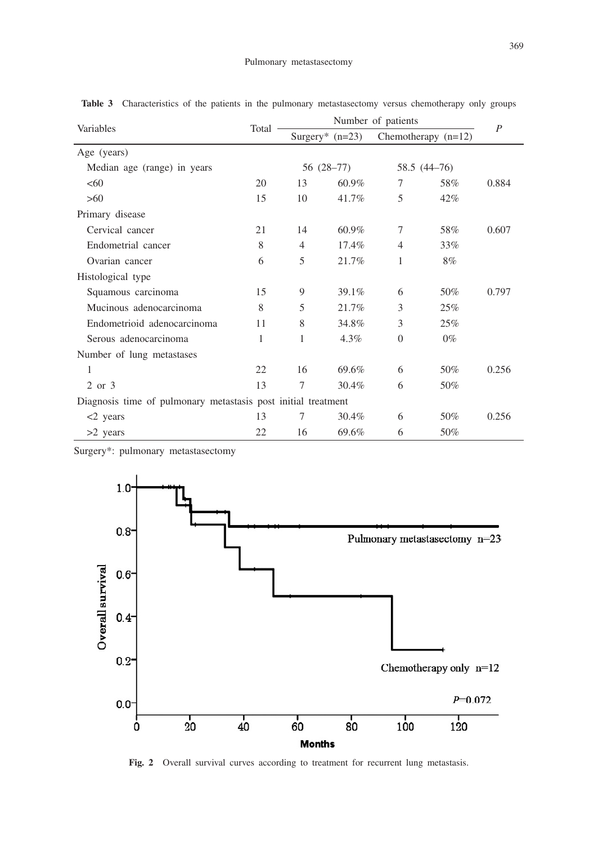| Variables                                                     | Total | Number of patients |                   |                | $\overline{P}$      |       |
|---------------------------------------------------------------|-------|--------------------|-------------------|----------------|---------------------|-------|
|                                                               |       |                    | Surgery* $(n=23)$ |                | Chemotherapy (n=12) |       |
| Age (years)                                                   |       |                    |                   |                |                     |       |
| Median age (range) in years                                   |       | 56 (28–77)         |                   | 58.5 (44–76)   |                     |       |
| <60                                                           | 20    | 13                 | 60.9%             | 7              | 58%                 | 0.884 |
| >60                                                           | 15    | 10                 | 41.7%             | 5              | $42\%$              |       |
| Primary disease                                               |       |                    |                   |                |                     |       |
| Cervical cancer                                               | 21    | 14                 | 60.9%             | 7              | 58%                 | 0.607 |
| Endometrial cancer                                            | 8     | $\overline{4}$     | 17.4%             | $\overline{4}$ | 33%                 |       |
| Ovarian cancer                                                | 6     | 5                  | 21.7%             | 1              | 8%                  |       |
| Histological type                                             |       |                    |                   |                |                     |       |
| Squamous carcinoma                                            | 15    | 9                  | 39.1%             | 6              | 50%                 | 0.797 |
| Mucinous adenocarcinoma                                       | 8     | 5                  | 21.7%             | 3              | 25%                 |       |
| Endometrioid adenocarcinoma                                   | 11    | 8                  | 34.8%             | 3              | 25%                 |       |
| Serous adenocarcinoma                                         | 1     | 1                  | 4.3%              | $\overline{0}$ | $0\%$               |       |
| Number of lung metastases                                     |       |                    |                   |                |                     |       |
| 1                                                             | 22    | 16                 | 69.6%             | 6              | 50%                 | 0.256 |
| 2 or 3                                                        | 13    | 7                  | 30.4%             | 6              | 50%                 |       |
| Diagnosis time of pulmonary metastasis post initial treatment |       |                    |                   |                |                     |       |
| $<$ 2 years                                                   | 13    | 7                  | 30.4%             | 6              | 50%                 | 0.256 |
| $>2$ years                                                    | 22    | 16                 | 69.6%             | 6              | 50%                 |       |

Table 3 Characteristics of the patients in the pulmonary metastasectomy versus chemotherapy only groups

Surgery\*: pulmonary metastasectomy



**Fig. 2** Overall survival curves according to treatment for recurrent lung metastasis.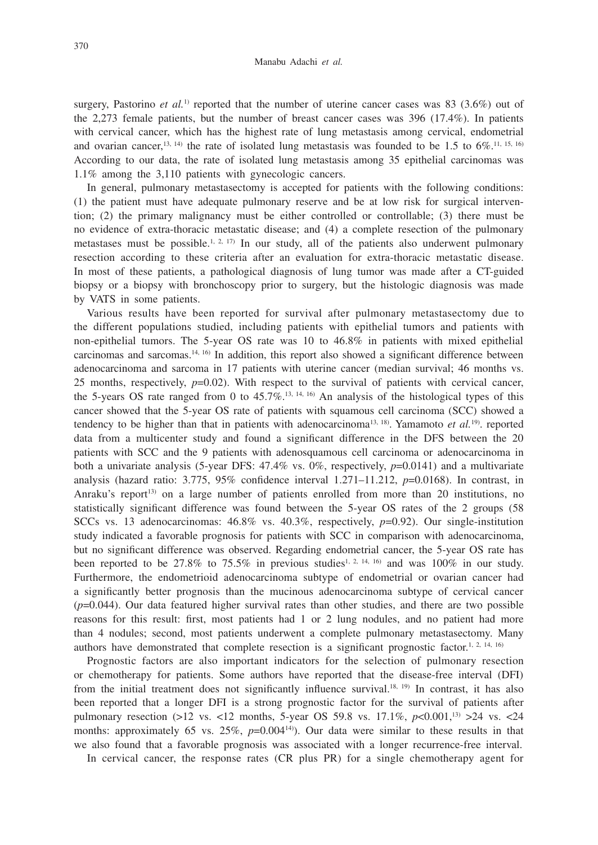surgery, Pastorino *et al.*<sup>1)</sup> reported that the number of uterine cancer cases was 83 (3.6%) out of the 2,273 female patients, but the number of breast cancer cases was 396 (17.4%). In patients with cervical cancer, which has the highest rate of lung metastasis among cervical, endometrial and ovarian cancer,<sup>13, 14</sup>) the rate of isolated lung metastasis was founded to be 1.5 to  $6\%$ .<sup>11, 15, 16</sup>) According to our data, the rate of isolated lung metastasis among 35 epithelial carcinomas was 1.1% among the 3,110 patients with gynecologic cancers.

In general, pulmonary metastasectomy is accepted for patients with the following conditions: (1) the patient must have adequate pulmonary reserve and be at low risk for surgical intervention; (2) the primary malignancy must be either controlled or controllable; (3) there must be no evidence of extra-thoracic metastatic disease; and (4) a complete resection of the pulmonary metastases must be possible.<sup>1, 2, 17)</sup> In our study, all of the patients also underwent pulmonary resection according to these criteria after an evaluation for extra-thoracic metastatic disease. In most of these patients, a pathological diagnosis of lung tumor was made after a CT-guided biopsy or a biopsy with bronchoscopy prior to surgery, but the histologic diagnosis was made by VATS in some patients.

Various results have been reported for survival after pulmonary metastasectomy due to the different populations studied, including patients with epithelial tumors and patients with non-epithelial tumors. The 5-year OS rate was 10 to 46.8% in patients with mixed epithelial carcinomas and sarcomas.14, 16) In addition, this report also showed a significant difference between adenocarcinoma and sarcoma in 17 patients with uterine cancer (median survival; 46 months vs. 25 months, respectively,  $p=0.02$ ). With respect to the survival of patients with cervical cancer, the 5-years OS rate ranged from 0 to  $45.7\%$ .<sup>13, 14, 16)</sup> An analysis of the histological types of this cancer showed that the 5-year OS rate of patients with squamous cell carcinoma (SCC) showed a tendency to be higher than that in patients with adenocarcinoma<sup>13, 18</sup>). Yamamoto *et al.*<sup>19</sup>). reported data from a multicenter study and found a significant difference in the DFS between the 20 patients with SCC and the 9 patients with adenosquamous cell carcinoma or adenocarcinoma in both a univariate analysis (5-year DFS:  $47.4\%$  vs. 0%, respectively,  $p=0.0141$ ) and a multivariate analysis (hazard ratio: 3.775, 95% confidence interval 1.271–11.212, *p*=0.0168). In contrast, in Anraku's report<sup>13</sup> on a large number of patients enrolled from more than 20 institutions, no statistically significant difference was found between the 5-year OS rates of the 2 groups (58 SCCs vs. 13 adenocarcinomas: 46.8% vs. 40.3%, respectively, *p*=0.92). Our single-institution study indicated a favorable prognosis for patients with SCC in comparison with adenocarcinoma, but no significant difference was observed. Regarding endometrial cancer, the 5-year OS rate has been reported to be 27.8% to 75.5% in previous studies<sup>1, 2, 14, 16</sup> and was 100% in our study. Furthermore, the endometrioid adenocarcinoma subtype of endometrial or ovarian cancer had a significantly better prognosis than the mucinous adenocarcinoma subtype of cervical cancer  $(p=0.044)$ . Our data featured higher survival rates than other studies, and there are two possible reasons for this result: first, most patients had 1 or 2 lung nodules, and no patient had more than 4 nodules; second, most patients underwent a complete pulmonary metastasectomy. Many authors have demonstrated that complete resection is a significant prognostic factor.<sup>1, 2, 14, 16)</sup>

Prognostic factors are also important indicators for the selection of pulmonary resection or chemotherapy for patients. Some authors have reported that the disease-free interval (DFI) from the initial treatment does not significantly influence survival.<sup>18, 19)</sup> In contrast, it has also been reported that a longer DFI is a strong prognostic factor for the survival of patients after pulmonary resection (>12 vs. <12 months, 5-year OS 59.8 vs. 17.1%, *p*<0.001,13) >24 vs. <24 months: approximately 65 vs.  $25\%$ ,  $p=0.004^{14}$ ). Our data were similar to these results in that we also found that a favorable prognosis was associated with a longer recurrence-free interval.

In cervical cancer, the response rates (CR plus PR) for a single chemotherapy agent for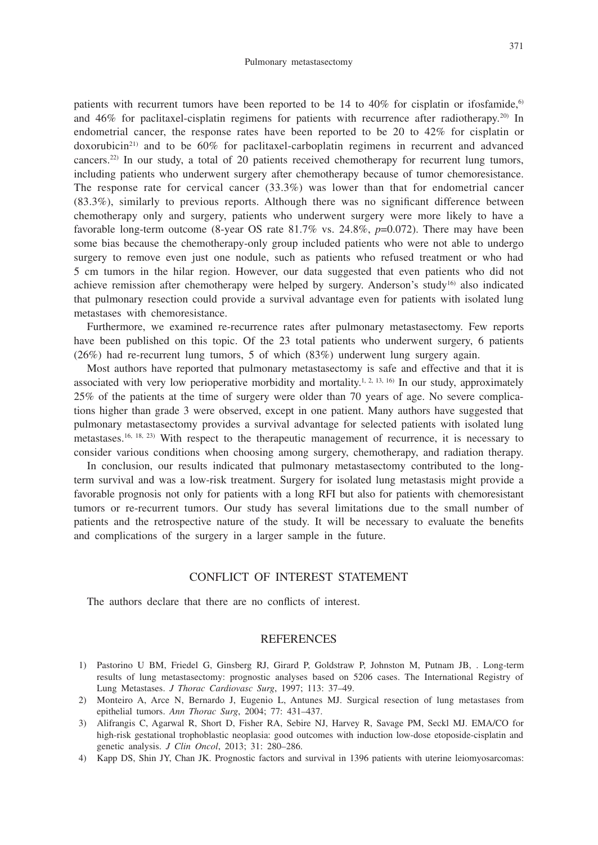patients with recurrent tumors have been reported to be 14 to  $40\%$  for cisplatin or ifosfamide,<sup>6)</sup> and 46% for paclitaxel-cisplatin regimens for patients with recurrence after radiotherapy.<sup>20)</sup> In endometrial cancer, the response rates have been reported to be 20 to 42% for cisplatin or  $doxorubicin<sup>21</sup>$  and to be 60% for paclitaxel-carboplatin regimens in recurrent and advanced cancers.22) In our study, a total of 20 patients received chemotherapy for recurrent lung tumors, including patients who underwent surgery after chemotherapy because of tumor chemoresistance. The response rate for cervical cancer  $(33.3\%)$  was lower than that for endometrial cancer (83.3%), similarly to previous reports. Although there was no significant difference between chemotherapy only and surgery, patients who underwent surgery were more likely to have a favorable long-term outcome (8-year OS rate 81.7% vs. 24.8%, *p*=0.072). There may have been some bias because the chemotherapy-only group included patients who were not able to undergo surgery to remove even just one nodule, such as patients who refused treatment or who had 5 cm tumors in the hilar region. However, our data suggested that even patients who did not achieve remission after chemotherapy were helped by surgery. Anderson's study<sup>16)</sup> also indicated that pulmonary resection could provide a survival advantage even for patients with isolated lung metastases with chemoresistance.

Furthermore, we examined re-recurrence rates after pulmonary metastasectomy. Few reports have been published on this topic. Of the 23 total patients who underwent surgery, 6 patients (26%) had re-recurrent lung tumors, 5 of which (83%) underwent lung surgery again.

Most authors have reported that pulmonary metastasectomy is safe and effective and that it is associated with very low perioperative morbidity and mortality.<sup>1, 2, 13, 16)</sup> In our study, approximately 25% of the patients at the time of surgery were older than 70 years of age. No severe complications higher than grade 3 were observed, except in one patient. Many authors have suggested that pulmonary metastasectomy provides a survival advantage for selected patients with isolated lung metastases.16, 18, 23) With respect to the therapeutic management of recurrence, it is necessary to consider various conditions when choosing among surgery, chemotherapy, and radiation therapy.

In conclusion, our results indicated that pulmonary metastasectomy contributed to the longterm survival and was a low-risk treatment. Surgery for isolated lung metastasis might provide a favorable prognosis not only for patients with a long RFI but also for patients with chemoresistant tumors or re-recurrent tumors. Our study has several limitations due to the small number of patients and the retrospective nature of the study. It will be necessary to evaluate the benefits and complications of the surgery in a larger sample in the future.

# CONFLICT OF INTEREST STATEMENT

The authors declare that there are no conflicts of interest.

# **REFERENCES**

- 1) Pastorino U BM, Friedel G, Ginsberg RJ, Girard P, Goldstraw P, Johnston M, Putnam JB, . Long-term results of lung metastasectomy: prognostic analyses based on 5206 cases. The International Registry of Lung Metastases. *J Thorac Cardiovasc Surg*, 1997; 113: 37–49.
- 2) Monteiro A, Arce N, Bernardo J, Eugenio L, Antunes MJ. Surgical resection of lung metastases from epithelial tumors. *Ann Thorac Surg*, 2004; 77: 431–437.
- 3) Alifrangis C, Agarwal R, Short D, Fisher RA, Sebire NJ, Harvey R, Savage PM, Seckl MJ. EMA/CO for high-risk gestational trophoblastic neoplasia: good outcomes with induction low-dose etoposide-cisplatin and genetic analysis. *J Clin Oncol*, 2013; 31: 280–286.
- 4) Kapp DS, Shin JY, Chan JK. Prognostic factors and survival in 1396 patients with uterine leiomyosarcomas: